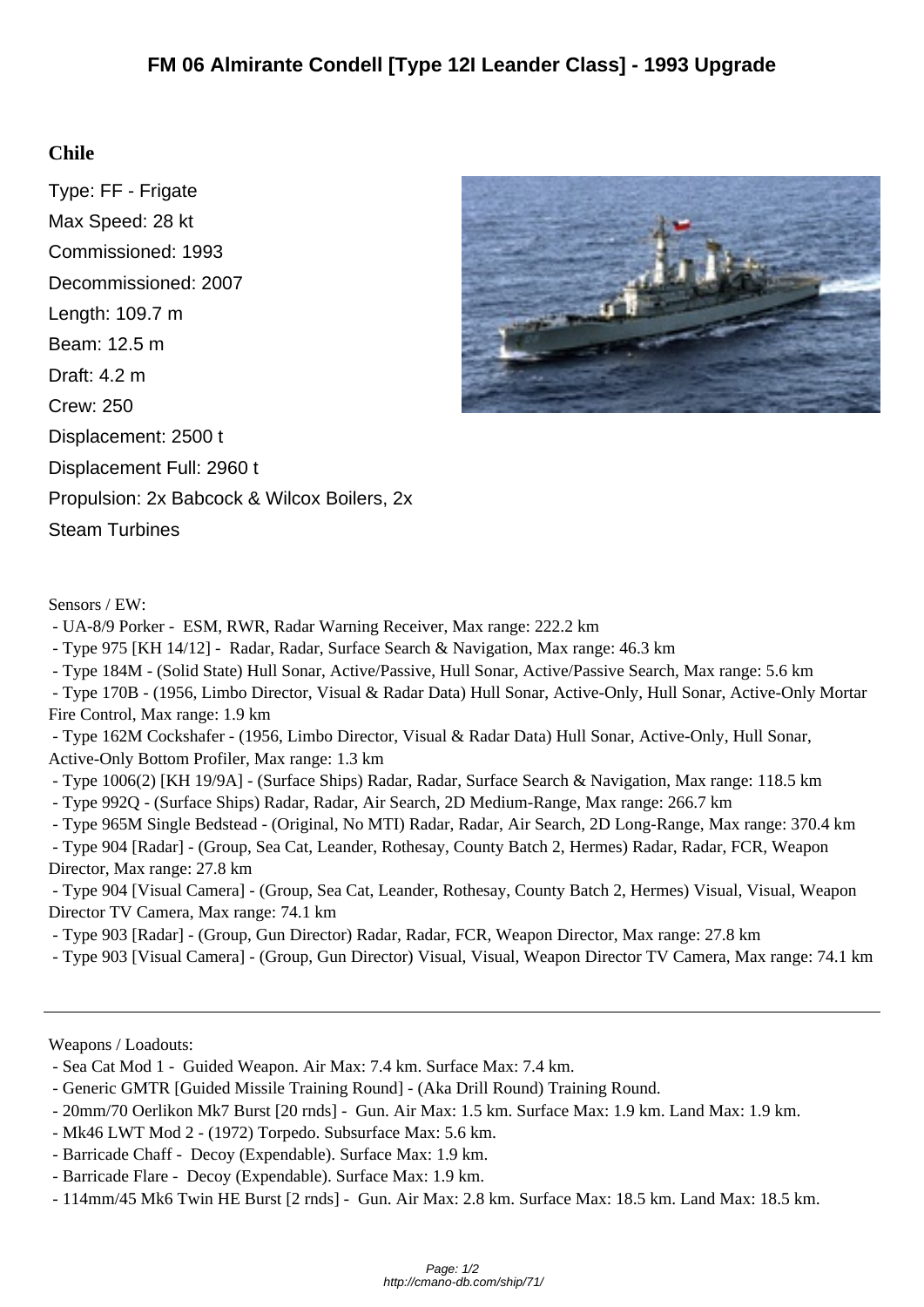## **Chile**

Type: FF - Frigate Max Speed: 28 kt Commissioned: 1993 Decommissioned: 2007 Length: 109.7 m Beam: 12.5 m Draft: 4.2 m Crew: 250 Displacement: 2500 t Displacement Full: 2960 t Propulsion: 2x Babcock & Wilcox Boilers, 2x Steam Turbines



## Sensors / EW:

- UA-8/9 Porker - ESM, RWR, Radar Warning Receiver, Max range: 222.2 km

- Type 975 [KH 14/12] - Radar, Radar, Surface Search & Navigation, Max range: 46.3 km

- Type 184M - (Solid State) Hull Sonar, Active/Passive, Hull Sonar, Active/Passive Search, Max range: 5.6 km

 - Type 170B - (1956, Limbo Director, Visual & Radar Data) Hull Sonar, Active-Only, Hull Sonar, Active-Only Mortar Fire Control, Max range: 1.9 km

 - Type 162M Cockshafer - (1956, Limbo Director, Visual & Radar Data) Hull Sonar, Active-Only, Hull Sonar, Active-Only Bottom Profiler, Max range: 1.3 km

- Type 1006(2) [KH 19/9A] - (Surface Ships) Radar, Radar, Surface Search & Navigation, Max range: 118.5 km

- Type 992Q - (Surface Ships) Radar, Radar, Air Search, 2D Medium-Range, Max range: 266.7 km

- Type 965M Single Bedstead - (Original, No MTI) Radar, Radar, Air Search, 2D Long-Range, Max range: 370.4 km

 - Type 904 [Radar] - (Group, Sea Cat, Leander, Rothesay, County Batch 2, Hermes) Radar, Radar, FCR, Weapon Director, Max range: 27.8 km

 - Type 904 [Visual Camera] - (Group, Sea Cat, Leander, Rothesay, County Batch 2, Hermes) Visual, Visual, Weapon Director TV Camera, Max range: 74.1 km

- Type 903 [Radar] - (Group, Gun Director) Radar, Radar, FCR, Weapon Director, Max range: 27.8 km

- Type 903 [Visual Camera] - (Group, Gun Director) Visual, Visual, Weapon Director TV Camera, Max range: 74.1 km

Weapons / Loadouts:

- Sea Cat Mod 1 - Guided Weapon. Air Max: 7.4 km. Surface Max: 7.4 km.

- Generic GMTR [Guided Missile Training Round] - (Aka Drill Round) Training Round.

- 20mm/70 Oerlikon Mk7 Burst [20 rnds] Gun. Air Max: 1.5 km. Surface Max: 1.9 km. Land Max: 1.9 km.
- Mk46 LWT Mod 2 (1972) Torpedo. Subsurface Max: 5.6 km.
- Barricade Chaff Decoy (Expendable). Surface Max: 1.9 km.
- Barricade Flare Decoy (Expendable). Surface Max: 1.9 km.
- 114mm/45 Mk6 Twin HE Burst [2 rnds] Gun. Air Max: 2.8 km. Surface Max: 18.5 km. Land Max: 18.5 km.